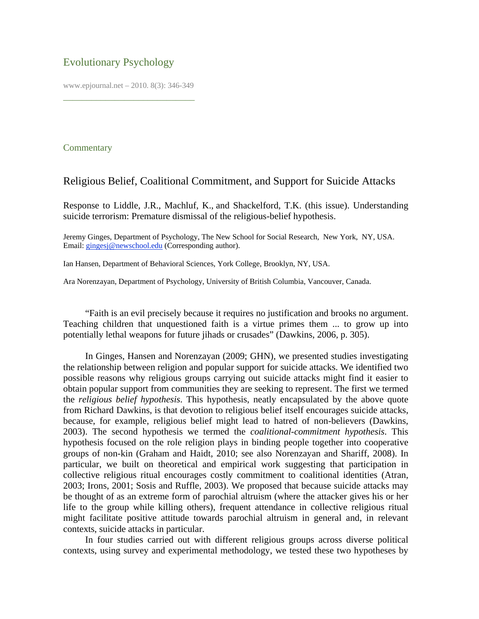# Evolutionary Psychology

www.epjournal.net – 2010. 8(3): 346-349

¯¯¯¯¯¯¯¯¯¯¯¯¯¯¯¯¯¯¯¯¯¯¯¯¯¯¯¯

### **Commentary**

## Religious Belief, Coalitional Commitment, and Support for Suicide Attacks

Response to Liddle, J.R., Machluf, K., and Shackelford, T.K. (this issue). Understanding suicide terrorism: Premature dismissal of the religious-belief hypothesis.

Jeremy Ginges, Department of Psychology, The New School for Social Research, New York, NY, USA. Email: [gingesj@newschool.edu](mailto:gingesj@newschool.edu) (Corresponding author).

Ian Hansen, Department of Behavioral Sciences, York College, Brooklyn, NY, USA.

Ara Norenzayan, Department of Psychology, University of British Columbia, Vancouver, Canada.

"Faith is an evil precisely because it requires no justification and brooks no argument. Teaching children that unquestioned faith is a virtue primes them ... to grow up into potentially lethal weapons for future jihads or crusades" (Dawkins, 2006, p. 305).

In Ginges, Hansen and Norenzayan (2009; GHN), we presented studies investigating the relationship between religion and popular support for suicide attacks. We identified two possible reasons why religious groups carrying out suicide attacks might find it easier to obtain popular support from communities they are seeking to represent. The first we termed the *religious belief hypothesis*. This hypothesis, neatly encapsulated by the above quote from Richard Dawkins, is that devotion to religious belief itself encourages suicide attacks, because, for example, religious belief might lead to hatred of non-believers (Dawkins, 2003). The second hypothesis we termed the *coalitional-commitment hypothesis*. This hypothesis focused on the role religion plays in binding people together into cooperative groups of non-kin (Graham and Haidt, 2010; see also Norenzayan and Shariff, 2008). In particular, we built on theoretical and empirical work suggesting that participation in collective religious ritual encourages costly commitment to coalitional identities (Atran, 2003; Irons, 2001; Sosis and Ruffle, 2003). We proposed that because suicide attacks may be thought of as an extreme form of parochial altruism (where the attacker gives his or her life to the group while killing others), frequent attendance in collective religious ritual might facilitate positive attitude towards parochial altruism in general and, in relevant contexts, suicide attacks in particular.

In four studies carried out with different religious groups across diverse political contexts, using survey and experimental methodology, we tested these two hypotheses by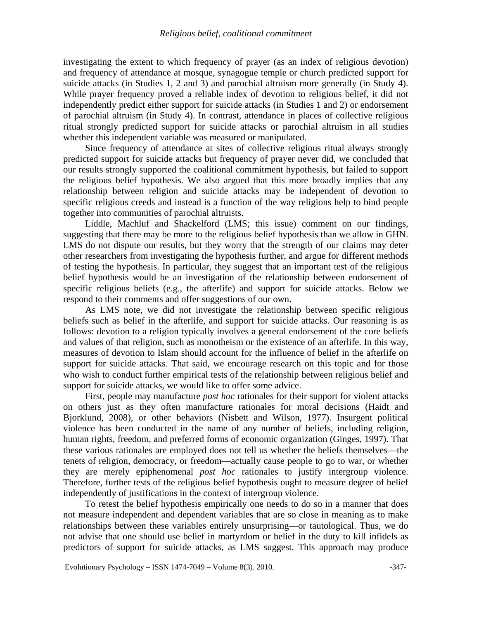investigating the extent to which frequency of prayer (as an index of religious devotion) and frequency of attendance at mosque, synagogue temple or church predicted support for suicide attacks (in Studies 1, 2 and 3) and parochial altruism more generally (in Study 4). While prayer frequency proved a reliable index of devotion to religious belief, it did not independently predict either support for suicide attacks (in Studies 1 and 2) or endorsement of parochial altruism (in Study 4). In contrast, attendance in places of collective religious ritual strongly predicted support for suicide attacks or parochial altruism in all studies whether this independent variable was measured or manipulated.

Since frequency of attendance at sites of collective religious ritual always strongly predicted support for suicide attacks but frequency of prayer never did, we concluded that our results strongly supported the coalitional commitment hypothesis, but failed to support the religious belief hypothesis. We also argued that this more broadly implies that any relationship between religion and suicide attacks may be independent of devotion to specific religious creeds and instead is a function of the way religions help to bind people together into communities of parochial altruists.

Liddle, Machluf and Shackelford (LMS; this issue) comment on our findings, suggesting that there may be more to the religious belief hypothesis than we allow in GHN. LMS do not dispute our results, but they worry that the strength of our claims may deter other researchers from investigating the hypothesis further, and argue for different methods of testing the hypothesis. In particular, they suggest that an important test of the religious belief hypothesis would be an investigation of the relationship between endorsement of specific religious beliefs (e.g., the afterlife) and support for suicide attacks. Below we respond to their comments and offer suggestions of our own.

As LMS note, we did not investigate the relationship between specific religious beliefs such as belief in the afterlife, and support for suicide attacks. Our reasoning is as follows: devotion to a religion typically involves a general endorsement of the core beliefs and values of that religion, such as monotheism or the existence of an afterlife. In this way, measures of devotion to Islam should account for the influence of belief in the afterlife on support for suicide attacks. That said, we encourage research on this topic and for those who wish to conduct further empirical tests of the relationship between religious belief and support for suicide attacks, we would like to offer some advice.

First, people may manufacture *post hoc* rationales for their support for violent attacks on others just as they often manufacture rationales for moral decisions (Haidt and Bjorklund, 2008), or other behaviors (Nisbett and Wilson, 1977). Insurgent political violence has been conducted in the name of any number of beliefs, including religion, human rights, freedom, and preferred forms of economic organization (Ginges, 1997). That these various rationales are employed does not tell us whether the beliefs themselves—the tenets of religion, democracy, or freedom—actually cause people to go to war, or whether they are merely epiphenomenal *post hoc* rationales to justify intergroup violence. Therefore, further tests of the religious belief hypothesis ought to measure degree of belief independently of justifications in the context of intergroup violence.

To retest the belief hypothesis empirically one needs to do so in a manner that does not measure independent and dependent variables that are so close in meaning as to make relationships between these variables entirely unsurprising—or tautological. Thus, we do not advise that one should use belief in martyrdom or belief in the duty to kill infidels as predictors of support for suicide attacks, as LMS suggest. This approach may produce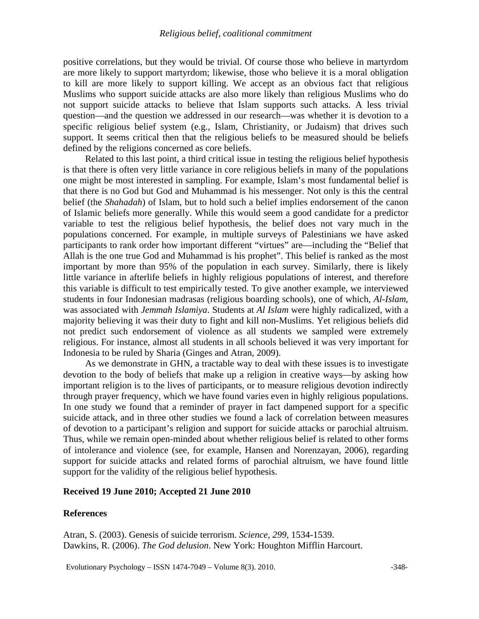positive correlations, but they would be trivial. Of course those who believe in martyrdom are more likely to support martyrdom; likewise, those who believe it is a moral obligation to kill are more likely to support killing. We accept as an obvious fact that religious Muslims who support suicide attacks are also more likely than religious Muslims who do not support suicide attacks to believe that Islam supports such attacks. A less trivial question—and the question we addressed in our research—was whether it is devotion to a specific religious belief system (e.g., Islam, Christianity, or Judaism) that drives such support. It seems critical then that the religious beliefs to be measured should be beliefs defined by the religions concerned as core beliefs.

Related to this last point, a third critical issue in testing the religious belief hypothesis is that there is often very little variance in core religious beliefs in many of the populations one might be most interested in sampling. For example, Islam's most fundamental belief is that there is no God but God and Muhammad is his messenger. Not only is this the central belief (the *Shahadah*) of Islam, but to hold such a belief implies endorsement of the canon of Islamic beliefs more generally. While this would seem a good candidate for a predictor variable to test the religious belief hypothesis, the belief does not vary much in the populations concerned. For example, in multiple surveys of Palestinians we have asked participants to rank order how important different "virtues" are—including the "Belief that Allah is the one true God and Muhammad is his prophet". This belief is ranked as the most important by more than 95% of the population in each survey. Similarly, there is likely little variance in afterlife beliefs in highly religious populations of interest, and therefore this variable is difficult to test empirically tested. To give another example, we interviewed students in four Indonesian madrasas (religious boarding schools), one of which, *Al-Islam*, was associated with *Jemmah Islamiya*. Students at *Al Islam* were highly radicalized, with a majority believing it was their duty to fight and kill non-Muslims. Yet religious beliefs did not predict such endorsement of violence as all students we sampled were extremely religious. For instance, almost all students in all schools believed it was very important for Indonesia to be ruled by Sharia (Ginges and Atran, 2009).

As we demonstrate in GHN, a tractable way to deal with these issues is to investigate devotion to the body of beliefs that make up a religion in creative ways—by asking how important religion is to the lives of participants, or to measure religious devotion indirectly through prayer frequency, which we have found varies even in highly religious populations. In one study we found that a reminder of prayer in fact dampened support for a specific suicide attack, and in three other studies we found a lack of correlation between measures of devotion to a participant's religion and support for suicide attacks or parochial altruism. Thus, while we remain open-minded about whether religious belief is related to other forms of intolerance and violence (see, for example, Hansen and Norenzayan, 2006), regarding support for suicide attacks and related forms of parochial altruism, we have found little support for the validity of the religious belief hypothesis.

### **Received 19 June 2010; Accepted 21 June 2010**

### **References**

Atran, S. (2003). Genesis of suicide terrorism. *Science, 299*, 1534-1539. Dawkins, R. (2006). *The God delusion*. New York: Houghton Mifflin Harcourt.

Evolutionary Psychology – ISSN 1474-7049 – Volume 8(3). 2010. -348-